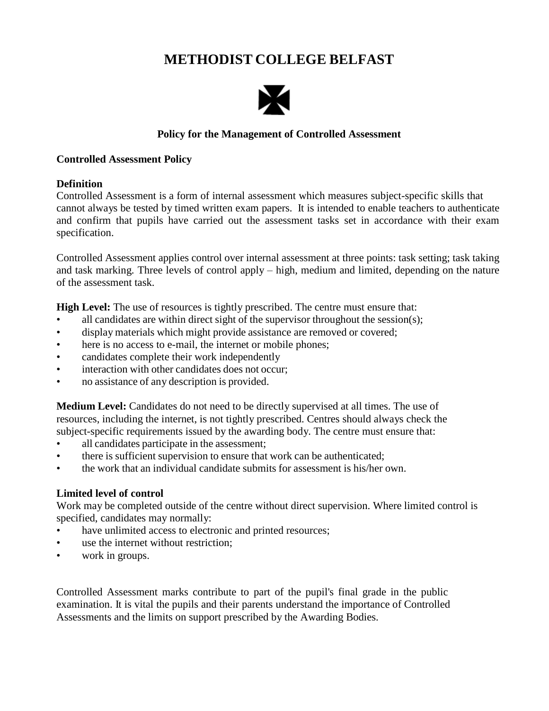# **METHODIST COLLEGE BELFAST**



## **Policy for the Management of Controlled Assessment**

#### **Controlled Assessment Policy**

#### **Definition**

Controlled Assessment is a form of internal assessment which measures subject-specific skills that cannot always be tested by timed written exam papers. It is intended to enable teachers to authenticate and confirm that pupils have carried out the assessment tasks set in accordance with their exam specification.

Controlled Assessment applies control over internal assessment at three points: task setting; task taking and task marking. Three levels of control apply – high, medium and limited, depending on the nature of the assessment task.

**High Level:** The use of resources is tightly prescribed. The centre must ensure that:

- all candidates are within direct sight of the supervisor throughout the session(s);
- display materials which might provide assistance are removed or covered;
- here is no access to e-mail, the internet or mobile phones;
- candidates complete their work independently
- interaction with other candidates does not occur;
- no assistance of any description is provided.

**Medium Level:** Candidates do not need to be directly supervised at all times. The use of resources, including the internet, is not tightly prescribed. Centres should always check the subject-specific requirements issued by the awarding body. The centre must ensure that:

- all candidates participate in the assessment;
- there is sufficient supervision to ensure that work can be authenticated;
- the work that an individual candidate submits for assessment is his/her own.

#### **Limited level of control**

Work may be completed outside of the centre without direct supervision. Where limited control is specified, candidates may normally:

- have unlimited access to electronic and printed resources;
- use the internet without restriction;
- work in groups.

Controlled Assessment marks contribute to part of the pupil's final grade in the public examination. It is vital the pupils and their parents understand the importance of Controlled Assessments and the limits on support prescribed by the Awarding Bodies.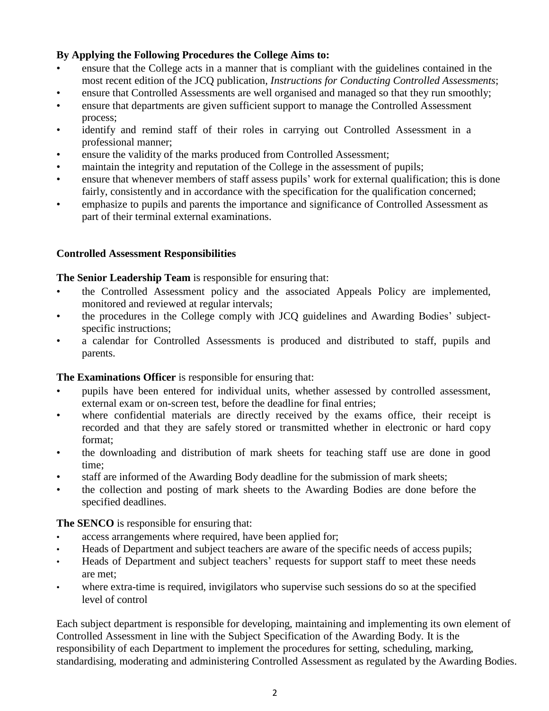## **By Applying the Following Procedures the College Aims to:**

- ensure that the College acts in a manner that is compliant with the guidelines contained in the most recent edition of the JCQ publication, *Instructions for Conducting Controlled Assessments*;
- ensure that Controlled Assessments are well organised and managed so that they run smoothly;
- ensure that departments are given sufficient support to manage the Controlled Assessment process;
- identify and remind staff of their roles in carrying out Controlled Assessment in a professional manner;
- ensure the validity of the marks produced from Controlled Assessment;
- maintain the integrity and reputation of the College in the assessment of pupils;
- ensure that whenever members of staff assess pupils' work for external qualification; this is done fairly, consistently and in accordance with the specification for the qualification concerned;
- emphasize to pupils and parents the importance and significance of Controlled Assessment as part of their terminal external examinations.

## **Controlled Assessment Responsibilities**

#### **The Senior Leadership Team** is responsible for ensuring that:

- the Controlled Assessment policy and the associated Appeals Policy are implemented, monitored and reviewed at regular intervals;
- the procedures in the College comply with JCQ guidelines and Awarding Bodies' subjectspecific instructions;
- a calendar for Controlled Assessments is produced and distributed to staff, pupils and parents.

#### **The Examinations Officer** is responsible for ensuring that:

- pupils have been entered for individual units, whether assessed by controlled assessment, external exam or on-screen test, before the deadline for final entries;
- where confidential materials are directly received by the exams office, their receipt is recorded and that they are safely stored or transmitted whether in electronic or hard copy format;
- the downloading and distribution of mark sheets for teaching staff use are done in good time;
- staff are informed of the Awarding Body deadline for the submission of mark sheets;
- the collection and posting of mark sheets to the Awarding Bodies are done before the specified deadlines.

**The SENCO** is responsible for ensuring that:

- access arrangements where required, have been applied for;
- Heads of Department and subject teachers are aware of the specific needs of access pupils;
- Heads of Department and subject teachers' requests for support staff to meet these needs are met;
- where extra-time is required, invigilators who supervise such sessions do so at the specified level of control

Each subject department is responsible for developing, maintaining and implementing its own element of Controlled Assessment in line with the Subject Specification of the Awarding Body. It is the responsibility of each Department to implement the procedures for setting, scheduling, marking, standardising, moderating and administering Controlled Assessment as regulated by the Awarding Bodies.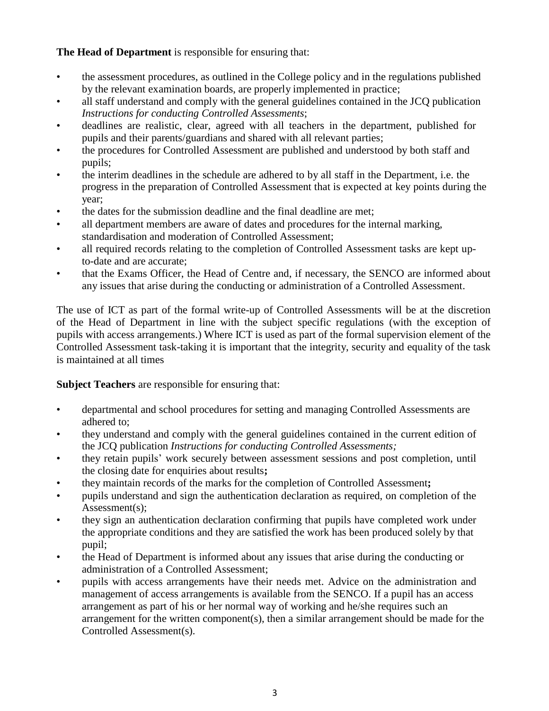## **The Head of Department** is responsible for ensuring that:

- the assessment procedures, as outlined in the College policy and in the regulations published by the relevant examination boards, are properly implemented in practice;
- all staff understand and comply with the general guidelines contained in the JCQ publication *Instructions for conducting Controlled Assessments*;
- deadlines are realistic, clear, agreed with all teachers in the department, published for pupils and their parents/guardians and shared with all relevant parties;
- the procedures for Controlled Assessment are published and understood by both staff and pupils;
- the interim deadlines in the schedule are adhered to by all staff in the Department, i.e. the progress in the preparation of Controlled Assessment that is expected at key points during the year;
- the dates for the submission deadline and the final deadline are met;
- all department members are aware of dates and procedures for the internal marking, standardisation and moderation of Controlled Assessment;
- all required records relating to the completion of Controlled Assessment tasks are kept upto-date and are accurate;
- that the Exams Officer, the Head of Centre and, if necessary, the SENCO are informed about any issues that arise during the conducting or administration of a Controlled Assessment.

The use of ICT as part of the formal write-up of Controlled Assessments will be at the discretion of the Head of Department in line with the subject specific regulations (with the exception of pupils with access arrangements.) Where ICT is used as part of the formal supervision element of the Controlled Assessment task-taking it is important that the integrity, security and equality of the task is maintained at all times

## **Subject Teachers** are responsible for ensuring that:

- departmental and school procedures for setting and managing Controlled Assessments are adhered to;
- they understand and comply with the general guidelines contained in the current edition of the JCQ publication *Instructions for conducting Controlled Assessments;*
- they retain pupils' work securely between assessment sessions and post completion, until the closing date for enquiries about results**;**
- they maintain records of the marks for the completion of Controlled Assessment**;**
- pupils understand and sign the authentication declaration as required, on completion of the Assessment(s);
- they sign an authentication declaration confirming that pupils have completed work under the appropriate conditions and they are satisfied the work has been produced solely by that pupil;
- the Head of Department is informed about any issues that arise during the conducting or administration of a Controlled Assessment;
- pupils with access arrangements have their needs met. Advice on the administration and management of access arrangements is available from the SENCO. If a pupil has an access arrangement as part of his or her normal way of working and he/she requires such an arrangement for the written component(s), then a similar arrangement should be made for the Controlled Assessment(s).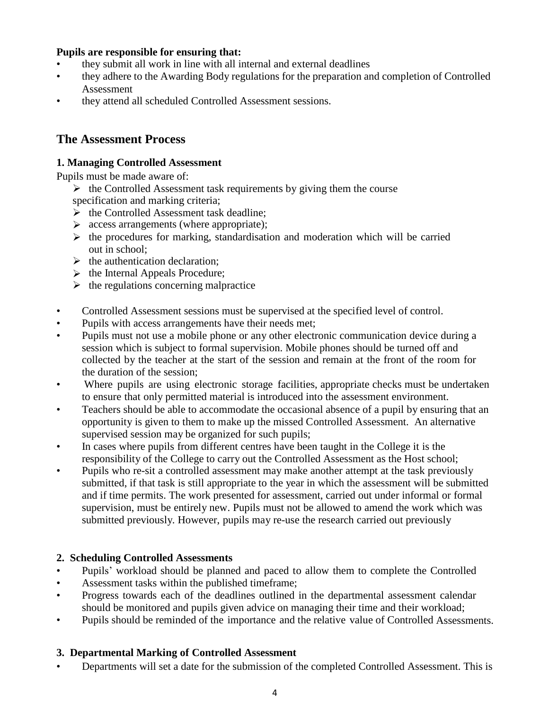## **Pupils are responsible for ensuring that:**

- they submit all work in line with all internal and external deadlines
- they adhere to the Awarding Body regulations for the preparation and completion of Controlled Assessment
- they attend all scheduled Controlled Assessment sessions.

## **The Assessment Process**

## **1. Managing Controlled Assessment**

Pupils must be made aware of:

 $\triangleright$  the Controlled Assessment task requirements by giving them the course specification and marking criteria;

- $\triangleright$  the Controlled Assessment task deadline;
- $\triangleright$  access arrangements (where appropriate);
- $\triangleright$  the procedures for marking, standardisation and moderation which will be carried out in school;
- $\blacktriangleright$  the authentication declaration;
- $\triangleright$  the Internal Appeals Procedure;
- $\triangleright$  the regulations concerning malpractice
- Controlled Assessment sessions must be supervised at the specified level of control.
- Pupils with access arrangements have their needs met;
- Pupils must not use a mobile phone or any other electronic communication device during a session which is subject to formal supervision. Mobile phones should be turned off and collected by the teacher at the start of the session and remain at the front of the room for the duration of the session;
- Where pupils are using electronic storage facilities, appropriate checks must be undertaken to ensure that only permitted material is introduced into the assessment environment.
- Teachers should be able to accommodate the occasional absence of a pupil by ensuring that an opportunity is given to them to make up the missed Controlled Assessment. An alternative supervised session may be organized for such pupils;
- In cases where pupils from different centres have been taught in the College it is the responsibility of the College to carry out the Controlled Assessment as the Host school;
- Pupils who re-sit a controlled assessment may make another attempt at the task previously submitted, if that task is still appropriate to the year in which the assessment will be submitted and if time permits. The work presented for assessment, carried out under informal or formal supervision, must be entirely new. Pupils must not be allowed to amend the work which was submitted previously. However, pupils may re-use the research carried out previously

## **2. Scheduling Controlled Assessments**

- Pupils' workload should be planned and paced to allow them to complete the Controlled
- Assessment tasks within the published timeframe;
- Progress towards each of the deadlines outlined in the departmental assessment calendar should be monitored and pupils given advice on managing their time and their workload;
- Pupils should be reminded of the importance and the relative value of Controlled Assessments.

## **3. Departmental Marking of Controlled Assessment**

• Departments will set a date for the submission of the completed Controlled Assessment. This is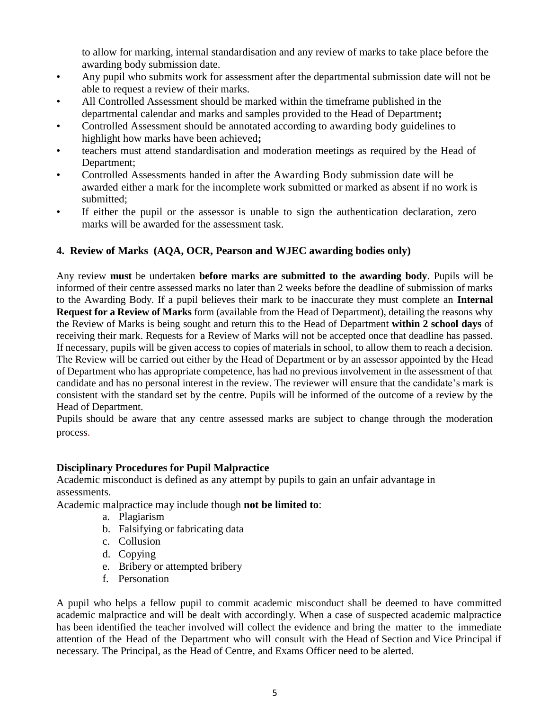to allow for marking, internal standardisation and any review of marks to take place before the awarding body submission date.

- Any pupil who submits work for assessment after the departmental submission date will not be able to request a review of their marks.
- All Controlled Assessment should be marked within the timeframe published in the departmental calendar and marks and samples provided to the Head of Department**;**
- Controlled Assessment should be annotated according to awarding body guidelines to highlight how marks have been achieved**;**
- teachers must attend standardisation and moderation meetings as required by the Head of Department;
- Controlled Assessments handed in after the Awarding Body submission date will be awarded either a mark for the incomplete work submitted or marked as absent if no work is submitted;
- If either the pupil or the assessor is unable to sign the authentication declaration, zero marks will be awarded for the assessment task.

## **4. Review of Marks (AQA, OCR, Pearson and WJEC awarding bodies only)**

Any review **must** be undertaken **before marks are submitted to the awarding body**. Pupils will be informed of their centre assessed marks no later than 2 weeks before the deadline of submission of marks to the Awarding Body. If a pupil believes their mark to be inaccurate they must complete an **Internal Request for a Review of Marks** form (available from the Head of Department), detailing the reasons why the Review of Marks is being sought and return this to the Head of Department **within 2 school days** of receiving their mark. Requests for a Review of Marks will not be accepted once that deadline has passed. If necessary, pupils will be given access to copies of materials in school, to allow them to reach a decision. The Review will be carried out either by the Head of Department or by an assessor appointed by the Head of Department who has appropriate competence, has had no previous involvement in the assessment of that candidate and has no personal interest in the review. The reviewer will ensure that the candidate's mark is consistent with the standard set by the centre. Pupils will be informed of the outcome of a review by the Head of Department.

Pupils should be aware that any centre assessed marks are subject to change through the moderation process.

#### **Disciplinary Procedures for Pupil Malpractice**

Academic misconduct is defined as any attempt by pupils to gain an unfair advantage in assessments.

Academic malpractice may include though **not be limited to**:

- a. Plagiarism
- b. Falsifying or fabricating data
- c. Collusion
- d. Copying
- e. Bribery or attempted bribery
- f. Personation

A pupil who helps a fellow pupil to commit academic misconduct shall be deemed to have committed academic malpractice and will be dealt with accordingly. When a case of suspected academic malpractice has been identified the teacher involved will collect the evidence and bring the matter to the immediate attention of the Head of the Department who will consult with the Head of Section and Vice Principal if necessary. The Principal, as the Head of Centre, and Exams Officer need to be alerted.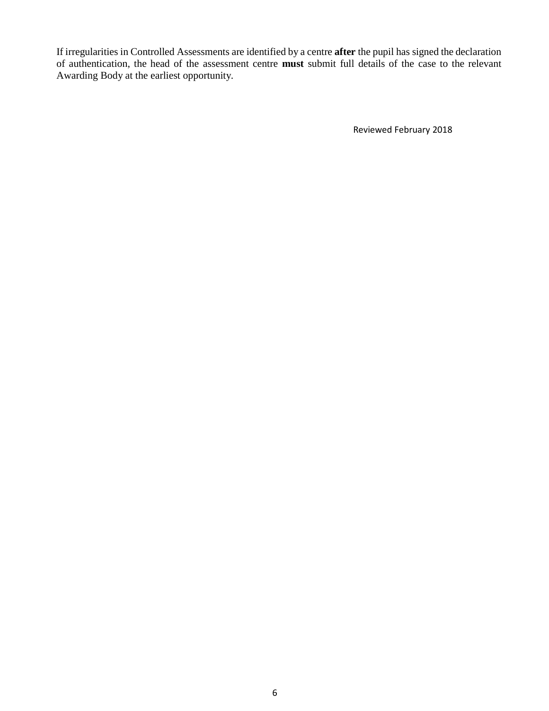If irregularities in Controlled Assessments are identified by a centre **after** the pupil has signed the declaration of authentication, the head of the assessment centre **must** submit full details of the case to the relevant Awarding Body at the earliest opportunity.

Reviewed February 2018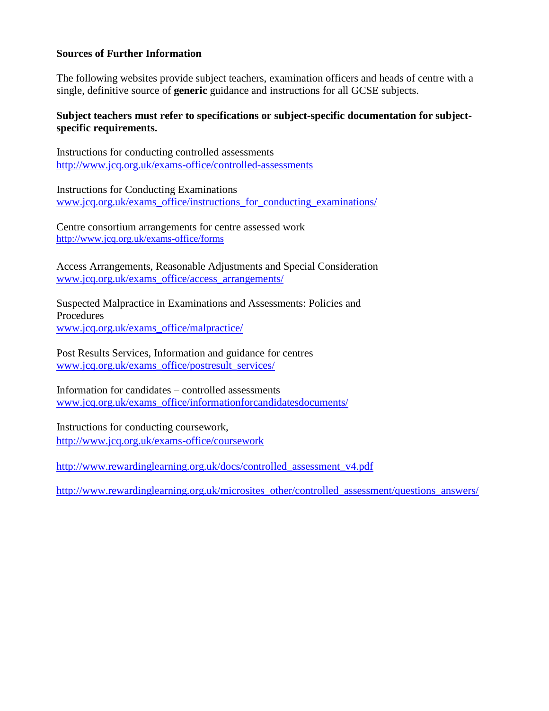## **Sources of Further Information**

The following websites provide subject teachers, examination officers and heads of centre with a single, definitive source of **generic** guidance and instructions for all GCSE subjects.

## **Subject teachers must refer to specifications or subject-specific documentation for subjectspecific requirements.**

Instructions for conducting controlled assessments <http://www.jcq.org.uk/exams-office/controlled-assessments>

Instructions for Conducting Examinations [www.jcq.org.uk/exams\\_office/instructions\\_for\\_conducting\\_examinations/](http://www.jcq.org.uk/exams_office/instructions_for_conducting_examinations/)

Centre consortium arrangements for centre assessed work <http://www.jcq.org.uk/exams-office/forms>

Access Arrangements, Reasonable Adjustments and Special Consideration [www.jcq.org.uk/exams\\_office/access\\_arrangements/](http://www.jcq.org.uk/exams_office/access_arrangements/)

Suspected Malpractice in Examinations and Assessments: Policies and Procedures [www.jcq.org.uk/exams\\_office/malpractice/](http://www.jcq.org.uk/exams_office/malpractice/)

Post Results Services, Information and guidance for centres [www.jcq.org.uk/exams\\_office/postresult\\_services/](http://www.jcq.org.uk/exams_office/postresult_services/)

Information for candidates – controlled assessments [www.jcq.org.uk/exams\\_office/informationforcandidatesdocuments/](http://www.jcq.org.uk/exams_office/informationforcandidatesdocuments/)

Instructions for conducting coursework, <http://www.jcq.org.uk/exams-office/coursework>

[http://www.rewardinglearning.org.uk/docs/controlled\\_assessment\\_v4.pdf](http://www.rewardinglearning.org.uk/docs/controlled_assessment_v4.pdf)

[http://www.rewardinglearning.org.uk/microsites\\_other/controlled\\_assessment/questions\\_answers/](http://www.rewardinglearning.org.uk/microsites_other/controlled_assessment/questions_answers/)